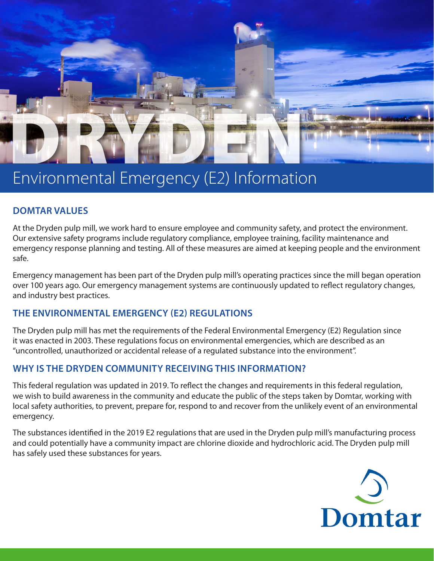

# Environmental Emergency (E2) Information

## **DOMTAR VALUES**

At the Dryden pulp mill, we work hard to ensure employee and community safety, and protect the environment. Our extensive safety programs include regulatory compliance, employee training, facility maintenance and emergency response planning and testing. All of these measures are aimed at keeping people and the environment safe.

Emergency management has been part of the Dryden pulp mill's operating practices since the mill began operation over 100 years ago. Our emergency management systems are continuously updated to reflect regulatory changes, and industry best practices.

## **THE ENVIRONMENTAL EMERGENCY (E2) REGULATIONS**

The Dryden pulp mill has met the requirements of the Federal Environmental Emergency (E2) Regulation since it was enacted in 2003. These regulations focus on environmental emergencies, which are described as an "uncontrolled, unauthorized or accidental release of a regulated substance into the environment".

# **WHY IS THE DRYDEN COMMUNITY RECEIVING THIS INFORMATION?**

This federal regulation was updated in 2019. To reflect the changes and requirements in this federal regulation, we wish to build awareness in the community and educate the public of the steps taken by Domtar, working with local safety authorities, to prevent, prepare for, respond to and recover from the unlikely event of an environmental emergency.

The substances identified in the 2019 E2 regulations that are used in the Dryden pulp mill's manufacturing process and could potentially have a community impact are chlorine dioxide and hydrochloric acid. The Dryden pulp mill has safely used these substances for years.